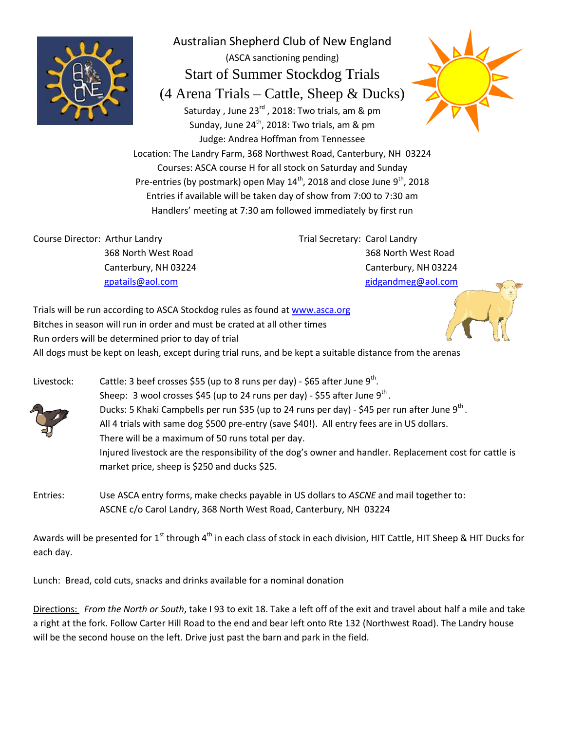

Australian Shepherd Club of New England (ASCA sanctioning pending) Start of Summer Stockdog Trials (4 Arena Trials – Cattle, Sheep & Ducks) Saturday, June 23<sup>rd</sup>, 2018: Two trials, am & pm Sunday, June 24<sup>th</sup>, 2018: Two trials, am & pm Judge: Andrea Hoffman from Tennessee



Location: The Landry Farm, 368 Northwest Road, Canterbury, NH 03224 Courses: ASCA course H for all stock on Saturday and Sunday Pre-entries (by postmark) open May  $14^{\text{th}}$ , 2018 and close June  $9^{\text{th}}$ , 2018 Entries if available will be taken day of show from 7:00 to 7:30 am Handlers' meeting at 7:30 am followed immediately by first run

Course Director: Arthur Landry 368 North West Road Canterbury, NH 03224 [gpatails@aol.com](mailto:gpatails@aol.com)

Trial Secretary: Carol Landry 368 North West Road Canterbury, NH 03224 [gidgandmeg@aol.com](mailto:gidgandmeg@aol.com)

Trials will be run according to ASCA Stockdog rules as found at [www.asca.org](http://www.asca.org/) Bitches in season will run in order and must be crated at all other times Run orders will be determined prior to day of trial All dogs must be kept on leash, except during trial runs, and be kept a suitable distance from the arenas



Livestock: Cattle: 3 beef crosses \$55 (up to 8 runs per day) - \$65 after June 9<sup>th</sup>. Sheep: 3 wool crosses \$45 (up to 24 runs per day) - \$55 after June 9<sup>th</sup>. Ducks: 5 Khaki Campbells per run \$35 (up to 24 runs per day) - \$45 per run after June 9<sup>th</sup>. All 4 trials with same dog \$500 pre-entry (save \$40!). All entry fees are in US dollars. There will be a maximum of 50 runs total per day. Injured livestock are the responsibility of the dog's owner and handler. Replacement cost for cattle is market price, sheep is \$250 and ducks \$25.

Entries: Use ASCA entry forms, make checks payable in US dollars to *ASCNE* and mail together to: ASCNE c/o Carol Landry, 368 North West Road, Canterbury, NH 03224

Awards will be presented for 1<sup>st</sup> through 4<sup>th</sup> in each class of stock in each division, HIT Cattle, HIT Sheep & HIT Ducks for each day.

Lunch: Bread, cold cuts, snacks and drinks available for a nominal donation

Directions: *From the North or South*, take I 93 to exit 18. Take a left off of the exit and travel about half a mile and take a right at the fork. Follow Carter Hill Road to the end and bear left onto Rte 132 (Northwest Road). The Landry house will be the second house on the left. Drive just past the barn and park in the field.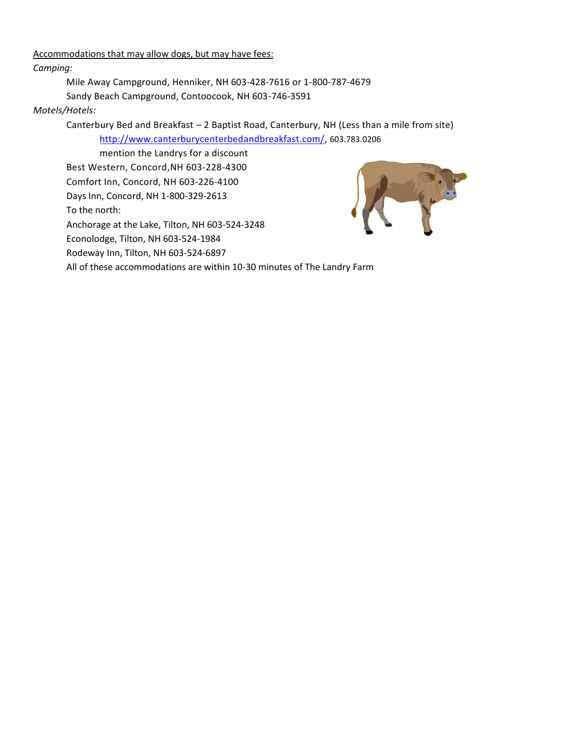Accommodations that may allow dogs, but may have fees:

*Camping:*

Mile Away Campground, Henniker, NH 603-428-7616 or 1-800-787-4679

Sandy Beach Campground, Contoocook, NH 603-746-3591

## *Motels/Hotels:*

Canterbury Bed and Breakfast – 2 Baptist Road, Canterbury, NH (Less than a mile from site) [http://www.canterburycenterbedandbreakfast.com/,](http://www.canterburycenterbedandbreakfast.com/) 603.783.0206

mention the Landrys for a discount Best Western, Concord,NH 603-228-4300 Comfort Inn, Concord, NH 603-226-4100 Days Inn, Concord, NH 1-800-329-2613 To the north: Anchorage at the Lake, Tilton, NH 603-524-3248 Econolodge, Tilton, NH 603-524-1984 Rodeway Inn, Tilton, NH 603-524-6897 All of these accommodations are within 10-30 minutes of The Landry Farm